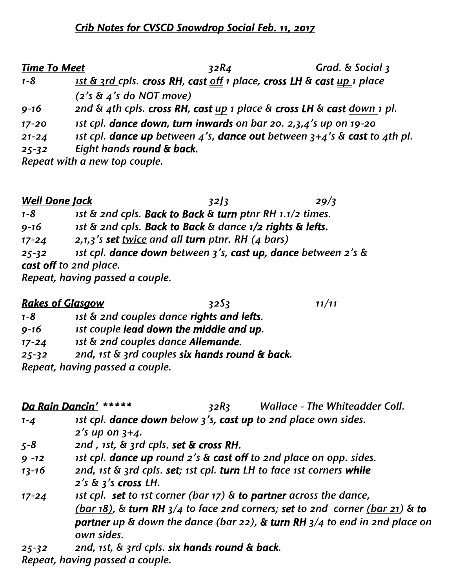# *Crib Notes for CVSCD Snowdrop Social Feb. 11, 2017*

| <b>Time To Meet</b> |                               | 32R <sub>4</sub> | Grad. & Social 3                                                            |
|---------------------|-------------------------------|------------------|-----------------------------------------------------------------------------|
| $1 - 8$             |                               |                  | 1st & 3rd cpls. cross RH, cast off 1 place, cross LH & cast up 1 place      |
|                     | $(2's \& 4's do NOT move)$    |                  |                                                                             |
| $9 - 16$            |                               |                  | and & 4th cpls. cross RH, cast up 1 place & cross LH & cast down 1 pl.      |
| $17 - 20$           |                               |                  | 1st cpl. dance down, turn inwards on bar 20. 2,3,4's up on 19-20            |
| $21 - 24$           |                               |                  | 1st cpl. dance up between 4's, dance out between $3+4$ 's & cast to 4th pl. |
| $25 - 32$           | Eight hands round & back.     |                  |                                                                             |
|                     | Repeat with a new top couple. |                  |                                                                             |

| <b>Well Done Jack</b> |                                                               | 32/3 | 29/3 |
|-----------------------|---------------------------------------------------------------|------|------|
| $1 - 8$               | 1st & 2nd cpls. Back to Back & turn ptnr RH 1.1/2 times.      |      |      |
| $9 - 16$              | 1st & 2nd cpls. Back to Back & dance 1/2 rights & lefts.      |      |      |
| $17 - 24$             | 2,1,3's set twice and all turn ptnr. RH (4 bars)              |      |      |
| $25 - 32$             | 1st cpl. dance down between 3's, cast up, dance between 2's & |      |      |
|                       | cast off to 2nd place.                                        |      |      |
|                       | Repeat, having passed a couple.                               |      |      |

| <b>Rakes of Glasgow</b> |                                    | 3253                                           | 11/11 |
|-------------------------|------------------------------------|------------------------------------------------|-------|
| $1 - 8$                 |                                    | 1st & 2nd couples dance rights and lefts.      |       |
| $9 - 16$                |                                    | <i>ist couple lead down the middle and up.</i> |       |
| $17 - 24$               | 1st & 2nd couples dance Allemande. |                                                |       |
| $25 - 32$               |                                    | 2nd, 1st & 3rd couples six hands round & back. |       |
|                         |                                    |                                                |       |

*Repeat, having passed a couple.*

|           | Da Rain Dancin' *****                         | 32R <sub>3</sub> | <b>Wallace - The Whiteadder Coll.</b>                                                                                                                                                                                                          |
|-----------|-----------------------------------------------|------------------|------------------------------------------------------------------------------------------------------------------------------------------------------------------------------------------------------------------------------------------------|
| $1 - 4$   |                                               |                  | 1st cpl. dance down below 3's, cast up to 2nd place own sides.                                                                                                                                                                                 |
|           | 2's up on $3+4$ .                             |                  |                                                                                                                                                                                                                                                |
| $5 - 8$   | 2nd, 1st, & 3rd cpls. set & cross RH.         |                  |                                                                                                                                                                                                                                                |
| $9 - 12$  |                                               |                  | 1st cpl. dance up round 2's & cast off to 2nd place on opp. sides.                                                                                                                                                                             |
| $13 - 16$ | $2's \& 3's \text{ cross } LH$ .              |                  | 2nd, 1st & 3rd cpls. set; 1st cpl. turn LH to face 1st corners while                                                                                                                                                                           |
| $17 - 24$ | own sides.                                    |                  | 1st cpl. set to 1st corner (bar 17) & to partner across the dance,<br>(bar $18$ ), & turn RH $3/4$ to face 2nd corners; set to 2nd corner (bar 21) & to<br><b>partner</b> up & down the dance (bar 22), & turn RH $3/4$ to end in 2nd place on |
| $25 - 32$ | 2nd, 1st, & 3rd cpls. six hands round & back. |                  |                                                                                                                                                                                                                                                |

*Repeat, having passed a couple.*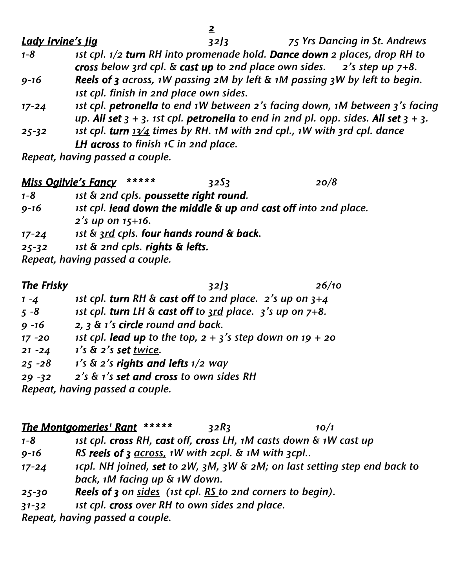| <b>Lady Irvine's Jig</b> | 75 Yrs Dancing in St. Andrews<br>32/3                                                     |
|--------------------------|-------------------------------------------------------------------------------------------|
| $1 - 8$                  | 1st cpl. 1/2 turn RH into promenade hold. Dance down 2 places, drop RH to                 |
|                          | cross below 3rd cpl. $\&$ cast up to 2nd place own sides. 2's step up $7+8$ .             |
| $9 - 16$                 | Reels of 3 $\frac{across}{s}$ , 1W passing 2M by left & 1M passing 3W by left to begin.   |
|                          | 1st cpl. finish in 2nd place own sides.                                                   |
| $17 - 24$                | 1st cpl. petronella to end 1W between 2's facing down, 1M between 3's facing              |
|                          | up. All set $3 + 3$ . 1st cpl. petronella to end in 2nd pl. opp. sides. All set $3 + 3$ . |
| $25 - 32$                | 1st cpl. turn $13/4$ times by RH. 1M with 2nd cpl., 1W with 3rd cpl. dance                |
|                          | LH across to finish 1C in 2nd place.                                                      |

*Repeat, having passed a couple.*

#### *Miss Ogilvie's Fancy \*\*\*\*\* 32S3 20/8*

- *1-8 1st & 2nd cpls. poussette right round.*
- *9-16 1st cpl. lead down the middle & up and cast off into 2nd place. 2's up on 15+16.*
- *17-24 1st & 3rd cpls. four hands round & back.*
- *25-32 1st & 2nd cpls. rights & lefts.*

*Repeat, having passed a couple.*

*The Frisky 32J3 26/10*

- *1 -4 1st cpl. turn RH & cast off to 2nd place. 2's up on 3+4*
- *5 -8 1st cpl. turn LH & cast off to 3rd place. 3's up on 7+8.*
- *9 -16 2, 3 & 1's circle round and back.*
- *17 -20 1st cpl. lead up to the top, 2 + 3's step down on 19 + 20*
- *21 -24 1's & 2's set twice.*
- *25 -28 1's & 2's rights and lefts 1/2 way*
- *29 -32 2's & 1's set and cross to own sides RH*

*Repeat, having passed a couple.*

# *The Montgomeries' Rant \*\*\*\*\* 32R3 10/1*

- *1-8 1st cpl. cross RH, cast off, cross LH, 1M casts down & 1W cast up*
- *9-16 RS reels of 3 across, 1W with 2cpl. & 1M with 3cpl..*
- *17-24 1cpl. NH joined, set to 2W, 3M, 3W & 2M; on last setting step end back to back, 1M facing up & 1W down.*
- *25-30 Reels of 3 on sides (1st cpl. RS to 2nd corners to begin).*
- *31-32 1st cpl. cross over RH to own sides 2nd place.*

*Repeat, having passed a couple.*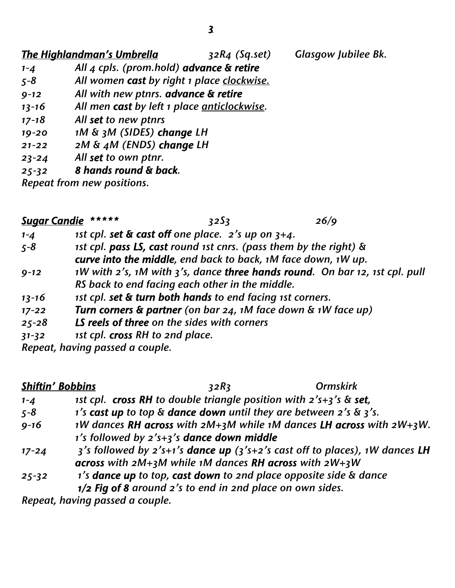### *The Highlandman's Umbrella 32R4 (Sq.set) Glasgow Jubilee Bk.*

- *1-4 All 4 cpls. (prom.hold) advance & retire 5-8 All women cast by right 1 place clockwise.*
- *9-12 All with new ptnrs. advance & retire*
- *13-16 All men cast by left 1 place anticlockwise.*
- *17-18 All set to new ptnrs*
- *19-20 1M & 3M (SIDES) change LH*
- *21-22 2M & 4M (ENDS) change LH*
- *23-24 All set to own ptnr.*

#### *25-32 8 hands round & back.*

*Repeat from new positions.*

| <b>Sugar Candie</b> | *****                                                                       | 3253 | 26/9 |
|---------------------|-----------------------------------------------------------------------------|------|------|
| $1 - 4$             | 1st cpl. set $\&$ cast off one place. $2'$ s up on $3+4$ .                  |      |      |
| $5 - 8$             | 1st cpl. pass LS, cast round 1st cnrs. (pass them by the right) &           |      |      |
|                     | curve into the middle, end back to back, 1M face down, 1W up.               |      |      |
| $9 - 12$            | 1W with 2's, 1M with 3's, dance three hands round. On bar 12, 1st cpl. pull |      |      |
|                     | RS back to end facing each other in the middle.                             |      |      |
| $13 - 16$           | 1st cpl. set & turn both hands to end facing 1st corners.                   |      |      |
| $17 - 22$           | Turn corners & partner (on bar $24$ , 1M face down & 1W face up)            |      |      |
| $25 - 28$           | LS reels of three on the sides with corners                                 |      |      |
| $31 - 32$           | 1st cpl. cross RH to 2nd place.                                             |      |      |
|                     | Repeat, having passed a couple.                                             |      |      |

#### *Shiftin' Bobbins 32R3 Ormskirk*

- *1-4 1st cpl. cross RH to double triangle position with 2's+3's & set,*
- *5-8 1's cast up to top & dance down until they are between 2's & 3's.*
- *9-16 1W dances RH across with 2M+3M while 1M dances LH across with 2W+3W. 1's followed by 2's+3's dance down middle*
- *17-24 3's followed by 2's+1's dance up (3's+2's cast off to places), 1W dances LH across with 2M+3M while 1M dances RH across with 2W+3W*
- *25-32 1's dance up to top, cast down to 2nd place opposite side & dance 1/2 Fig of 8 around 2's to end in 2nd place on own sides.*

*Repeat, having passed a couple.*